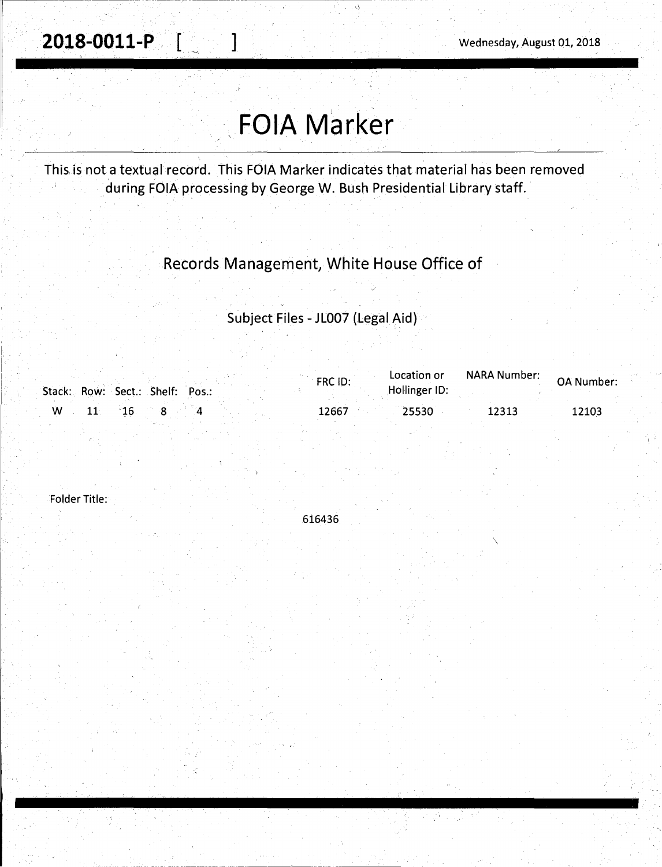# **FOIA Marker**

This. is not a textual record. This FOIA Marker indicates that material has been removed during FOIA processing by George W. Bush Presidential Library staff.

### Records Management, White House Office of

### Subject Files -JL007 (Legal Aid}

|    | Stack: Row: Sect.: Shelf: Pos.: | Location or<br>FRC ID:<br>Hollinger ID: | NARA Number: | <b>OA Number:</b> |
|----|---------------------------------|-----------------------------------------|--------------|-------------------|
| W. |                                 | 12667<br>25530                          | 12313        | 12103             |

Folder Title:

616436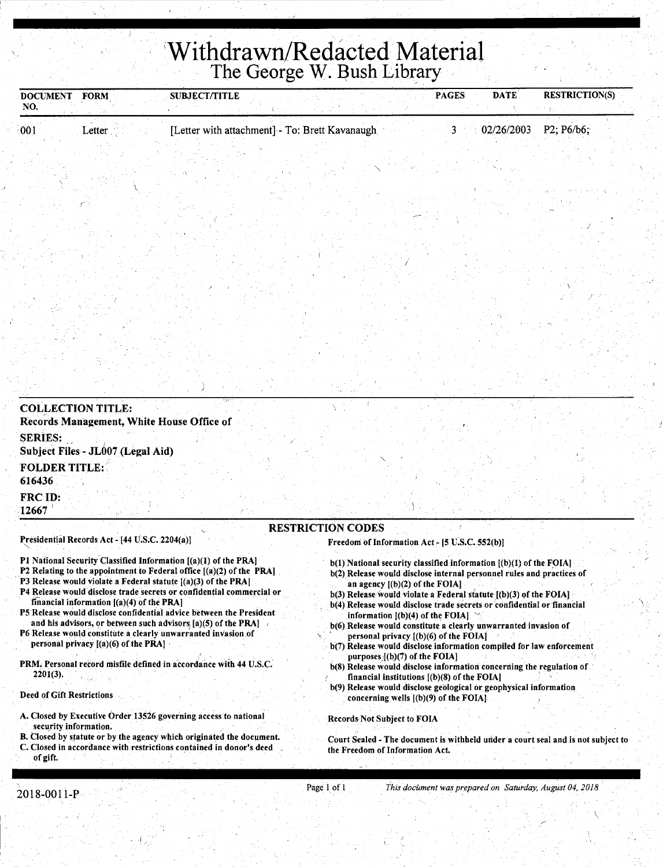## **'Withdrawn/Redacted Material**  The George W. Bush Library

| <b>DOCUMENT</b><br>NO.         | <b>FORM</b>                                    | <b>SUBJECT/TITLE</b>                           | PAGES | <b>DATE</b> | <b>RESTRICTION(S)</b> |
|--------------------------------|------------------------------------------------|------------------------------------------------|-------|-------------|-----------------------|
| 001                            | Letter                                         | [Letter with attachment] - To: Brett Kavanaugh | 3     | 02/26/2003  | P2; P6/b6;            |
|                                |                                                |                                                |       |             |                       |
|                                |                                                |                                                |       |             |                       |
|                                |                                                |                                                |       |             |                       |
| <b>COLLECTION TITLE:</b>       |                                                |                                                |       |             |                       |
|                                |                                                | Records Management, White House Office of      |       |             |                       |
| <b>SERIES:</b>                 | Subject Files - JL007 (Legal Aid)              |                                                |       |             |                       |
| <b>FOLDER TITLE:</b><br>616436 |                                                |                                                |       |             |                       |
| FRC ID:<br>12667               |                                                |                                                |       |             |                       |
|                                |                                                | <b>RESTRICTION CODES</b>                       |       |             |                       |
|                                | Presidential Records Act - [44 U.S.C. 2204(a)] | Freedom of Information Act - [5 U.S.C. 552(b)] |       |             |                       |

- P2 Relating to the appointment to Federal office [(a)(2) of the PRA]
- P3 Release would violate a Federal statute  $[(a)(3)$  of the PRA]
- P4 Release would disclose trade secrets or confidential commercial or financial information [(a)(4) of the PRA]
- PS Release would disclose confidential advice between the President and his advisors, or between such advisors  $[a](5)$  of the PRA]
- P6 Release would constitute a clearly unwarranted invasion of personal privacy  $[(a)(6)$  of the PRA $]$
- PRM. Personal record misfile defined in accordance with 44 U.S.C. 2201(3).

#### Deed of Gift Restrictions

- A. Closed by Executive Order 13526 governing access to national security information.
- B. Closed by statute or by the agency which originated the document. C. Closed in accordance with restrictions contained in donor's deed
- $b(1)$  National security classified information  $[(b)(1)$  of the FOIA] b(2) Release would disclose internal personnel rules and practices of
- an agency [(b)(2) of the FOIA) b(3) Release would violate a Federal statute  $[(b)(3)$  of the FOIA]
- b(4) Release would disclose trade secrets or confidential or financial information  $[(b)(4)]$  of the FOIA]
- b(6) Release would constitute a clearly unwarranted invasion of  $\gamma$  personal privacy  $[(b)(6)$  of the FOIA]
- b(7) Release would disclose information compiled for law enforcement purposes  $(1)(7)$  of the FOIA]
- b(8) Release would disclose information concerning the regulation of financial institutions [(b)(8) of the FOIA] .
- b(9) Release would disclose geological or geophysical information concerning wells [(b)(9) of the FOIA)

#### Records Not Subject to FOIA

Court Sealed - The document is withheld under a court seal and is not subject to the Freedom of.Information Act.

of gift.